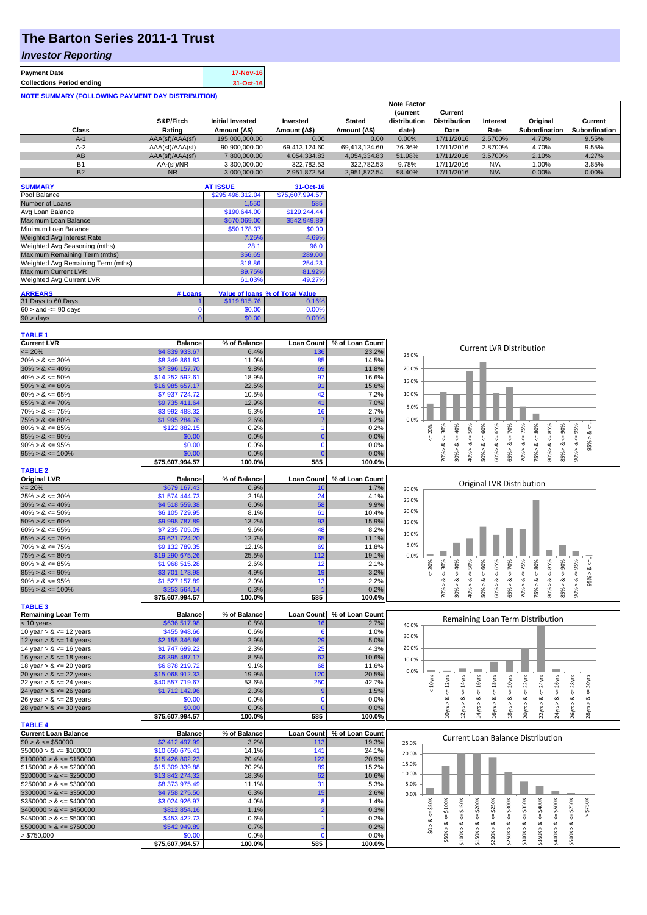## **The Barton Series 2011-1 Trust**

## *Investor Reporting*

| <b>Payment Date</b>                                      | 17-Nov-16 |
|----------------------------------------------------------|-----------|
| <b>Collections Period ending</b>                         | 31-Oct-16 |
| <b>NOTE SUMMARY (FOLLOWING PAYMENT DAY DISTRIBUTION)</b> |           |

|           |                 |                         |               |               | <b>Note Factor</b> |                     |          |                      |                      |
|-----------|-----------------|-------------------------|---------------|---------------|--------------------|---------------------|----------|----------------------|----------------------|
|           |                 |                         |               |               | (current           | Current             |          |                      |                      |
|           | S&P/Fitch       | <b>Initial Invested</b> | Invested      | <b>Stated</b> | distribution       | <b>Distribution</b> | Interest | Original             | Current              |
| Class     | Rating          | Amount (A\$)            | Amount (A\$)  | Amount (A\$)  | date)              | Date                | Rate     | <b>Subordination</b> | <b>Subordination</b> |
| $A-1$     | AAA(sf)/AAA(sf) | 195,000,000,00          | 0.00          | 0.00          | 0.00%              | 17/11/2016          | 2.5700%  | 4.70%                | 9.55%                |
| $A-2$     | AAA(sf)/AAA(sf) | 90,900,000.00           | 69.413.124.60 | 69.413.124.60 | 76.36%             | 17/11/2016          | 2.8700%  | 4.70%                | 9.55%                |
| AB        | AAA(sf)/AAA(sf) | 7.800.000.00            | 4.054.334.83  | 4.054.334.83  | 51.98%             | 17/11/2016          | 3.5700%  | 2.10%                | 4.27%                |
| <b>B1</b> | AA-(sf)/NR      | 3.300.000.00            | 322.782.53    | 322.782.53    | 9.78%              | 17/11/2016          | N/A      | 1.00%                | 3.85%                |
| <b>B2</b> | <b>NR</b>       | 3.000.000.00            | 2.951.872.54  | 2,951,872.54  | 98.40%             | 17/11/2016          | N/A      | 0.00%                | $0.00\%$             |

| <b>SUMMARY</b>                     |         | <b>AT ISSUE</b>  | 31-Oct-16                              |
|------------------------------------|---------|------------------|----------------------------------------|
| Pool Balance                       |         | \$295,498,312.04 | \$75,607,994.57                        |
| Number of Loans                    |         | 1.550            | 585                                    |
| Avg Loan Balance                   |         | \$190,644.00     | \$129,244.44                           |
| Maximum Loan Balance               |         | \$670,069.00     | \$542,949.89                           |
| Minimum Loan Balance               |         | \$50,178.37      | \$0.00                                 |
| Weighted Avg Interest Rate         |         | 7.25%            | 4.69%                                  |
| Weighted Avg Seasoning (mths)      |         | 28.1             | 96.0                                   |
| Maximum Remaining Term (mths)      |         | 356.65           | 289.00                                 |
| Weighted Avg Remaining Term (mths) |         | 318.86           | 254.23                                 |
| <b>Maximum Current LVR</b>         |         | 89.75%           | 81.92%                                 |
| Weighted Avg Current LVR           |         | 61.03%           | 49.27%                                 |
| <b>ARREARS</b>                     | # Loans |                  | <b>Value of loans % of Total Value</b> |
| 31 Days to 60 Days                 |         | \$119,815.76     | 0.16%                                  |
| $60 >$ and $\leq 90$ days          |         | \$0.00           | 0.00%                                  |
| $90 > \text{days}$                 |         | \$0.00           | 0.00%                                  |

| <b>Current LVR</b>   | <b>Balance</b>  | % of Balance |     | Loan Count   % of Loan Count |                                               |
|----------------------|-----------------|--------------|-----|------------------------------|-----------------------------------------------|
| $\leq$ 20%           | \$4,839,933.67  | 6.4%         | 136 | 23.2%                        | <b>Current LVR Distribution</b><br>25.0%      |
| $20\% > 8 \le 30\%$  | \$8,349,861.83  | 11.0%        |     | 14.5%                        |                                               |
| $30\% > 8 \le 40\%$  | \$7,396,157,70  | 9.8%         | 69  | 11.8%                        | 20.0%                                         |
| $40\% > 8 \le 50\%$  | \$14,252,592.61 | 18.9%        | U.  | 16.6%                        | 15.0%                                         |
| $50\% > 8 \le 60\%$  | \$16,985,657,17 | 22.5%        | 91  | 15.6%                        |                                               |
| $60\% > 8 \le 65\%$  | \$7,937,724.72  | 10.5%        |     | 7.2%                         | 10.0%                                         |
| $65\% > 8 \le 70\%$  | \$9,735,411.64  | 12.9%        |     | 7.0%                         | 5.0%                                          |
| $70\% > 8 \le 75\%$  | \$3,992,488.32  | 5.3%         |     | 2.7%                         |                                               |
| $75\% > 8 \le 80\%$  | \$1,995,284,76  | 2.6%         |     | 1.2%                         | 0.0%                                          |
| $80\% > 8 \le 85\%$  | \$122,882.15    | 0.2%         |     | 0.2%                         | <b>S5%</b><br>ို့<br>ř5<br>Š<br>ĝ<br>r<br>င္တ |
| $85\% > 8 \le 90\%$  | \$0.00          | $0.0\%$      |     | $0.0\%$                      |                                               |
| $90\% > 8 \le 95\%$  | \$0.00          | 0.0%         |     | $0.0\%$                      |                                               |
| $95\% > 8 \le 100\%$ | \$0.00          | $0.0\%$      |     | 0.0%                         | å<br>0                                        |
|                      | \$75.607.994.57 | 100.0%       | 585 | $100.0\%$                    | Ŕ<br>Ĥ,<br>င္တ<br>င္က<br>S<br>59<br>8         |

| $35\% > \alpha \le 100\%$ | <b>JU.UU</b>    | U.U'         |                   | $U.U\%$         |       | 20% | 30%<br>$^{60}$ | ទី  | 60%                       | 65% | $^{60}$ | 75% | 80% | 85% | êg  |
|---------------------------|-----------------|--------------|-------------------|-----------------|-------|-----|----------------|-----|---------------------------|-----|---------|-----|-----|-----|-----|
|                           | \$75,607,994.57 | 100.0%       | 585               | 100.0%          |       |     |                |     |                           |     |         |     |     |     |     |
| <b>TABLE 2</b>            |                 |              |                   |                 |       |     |                |     |                           |     |         |     |     |     |     |
| <b>Original LVR</b>       | <b>Balance</b>  | % of Balance | <b>Loan Count</b> | % of Loan Count |       |     |                |     |                           |     |         |     |     |     |     |
| $\leq$ 20%                | \$679,167.43    | 0.9%         |                   | 1.7%            | 30.0% |     |                |     | Original LVR Distribution |     |         |     |     |     |     |
| $25\% > 8 \le 30\%$       | \$1,574,444.73  | 2.1%         | 24                | 4.1%            | 25.0% |     |                |     |                           |     |         |     |     |     |     |
| $30\% > 8 \le 40\%$       | \$4,518,559.38  | 6.0%         | 58                | 9.9%            |       |     |                |     |                           |     |         |     |     |     |     |
| $40\% > 8 \le 50\%$       | \$6,105,729.95  | 8.1%         | 61                | 10.4%           | 20.0% |     |                |     |                           |     |         |     |     |     |     |
| $50\% > 8 \le 60\%$       | \$9,998,787.89  | 13.2%        | 93                | 15.9%           | 15.0% |     |                |     |                           |     |         |     |     |     |     |
| $60\% > 8 \le 65\%$       | \$7,235,705.09  | 9.6%         | 48                | 8.2%            | 10.0% |     |                |     |                           |     |         |     |     |     |     |
| $65\% > 8 \le 70\%$       | \$9,621,724.20  | 12.7%        | 65                | 11.1%           |       |     |                |     |                           |     |         |     |     |     |     |
| $70\% > 8 \le 75\%$       | \$9,132,789.35  | 12.1%        | 69                | 11.8%           | 5.0%  |     |                |     |                           |     |         |     |     |     |     |
| $75\% > 8 \le 80\%$       | \$19,290,675.26 | 25.5%        | 112               | 19.1%           | 0.0%  |     |                |     |                           |     |         |     |     |     |     |
| $80\% > 8 \le 85\%$       | \$1,968,515.28  | 2.6%         |                   | 2.1%            |       | 30% | 40%<br>50%     | 50% | \$5%                      | 70% | ĩ,      | Š   | 85% | 90% |     |
| $85\% > 8 \le 90\%$       | \$3,701,173.98  | 4.9%         | 19                | 3.2%            |       |     |                |     |                           |     |         |     |     |     |     |
| $90\% > 8 \le 95\%$       | \$1,527,157.89  | 2.0%         | 13 <sub>1</sub>   | 2.2%            |       |     | ಯ              |     |                           |     |         |     | o2  |     | 95% |
| $95\% > 8 \le 100\%$      | \$253,564.14    | 0.3%         |                   | 0.2%            |       |     |                |     |                           |     |         |     |     |     |     |
|                           | 0.7500700457    | 400.001      | <b>COF</b>        | 300.001         |       |     | င္က            |     | S.                        |     | 2       | ~   | 80  | 55  |     |

|                            | \$75,607,994.57 | 100.0%       | 585               | 100.0%          |       |
|----------------------------|-----------------|--------------|-------------------|-----------------|-------|
| <b>TABLE 3</b>             |                 |              |                   |                 |       |
| <b>Remaining Loan Term</b> | <b>Balance</b>  | % of Balance | <b>Loan Count</b> | % of Loan Count |       |
| $<$ 10 years               | \$636,517.98    | 0.8%         | 16                | 2.7%            | 40.0% |
| 10 year $> 8 \le 12$ years | \$455,948.66    | 0.6%         |                   | 1.0%            |       |
| 12 year $> 8 \le 14$ years | \$2,155,346.86  | 2.9%         | 29                | 5.0%            | 30.0% |
| 14 year $> 8 \le 16$ years | \$1,747,699.22  | 2.3%         | 25                | 4.3%            | 20.0% |
| 16 year $> 8 \le 18$ years | \$6,395,487.17  | 8.5%         | 62                | 10.6%           | 10.0% |
| 18 year $> 8 \le 20$ years | \$6,878,219.72  | 9.1%         | 68                | 11.6%           |       |
| 20 year $> 8 \le 22$ years | \$15,068,912.33 | 19.9%        | 120               | 20.5%           | 0.0%  |
| 22 year $> 8 \le 24$ years | \$40,557,719,67 | 53.6%        | 250               | 42.7%           |       |
| 24 year $> 8 \le 26$ years | \$1,712,142.96  | 2.3%         |                   | 1.5%            |       |
| 26 year $> 8 \le 28$ years | \$0.00          | 0.0%         |                   | 0.0%            |       |
| 28 year $> 8 \le 30$ years | \$0.00          | 0.0%         |                   | 0.0%            |       |
|                            | \$75.607.994.57 | 100.0%       | 585               | 100.0%          |       |

|       |              |              |              |                           | Remaining Loan Term Distribution |              |              |           |         |         |                         |  |
|-------|--------------|--------------|--------------|---------------------------|----------------------------------|--------------|--------------|-----------|---------|---------|-------------------------|--|
| 40.0% |              |              |              |                           |                                  |              |              |           |         |         |                         |  |
| 30.0% |              |              |              |                           |                                  |              |              |           |         |         |                         |  |
|       |              |              |              |                           |                                  |              |              |           |         |         |                         |  |
| 20.0% |              |              |              |                           |                                  |              |              |           |         |         |                         |  |
|       |              |              |              |                           |                                  |              |              |           |         |         |                         |  |
| 10.0% |              |              |              |                           |                                  |              |              |           |         |         |                         |  |
|       |              |              |              |                           |                                  |              |              |           |         |         |                         |  |
| 0.0%  |              |              |              |                           |                                  |              |              |           |         |         |                         |  |
|       | 10yrs        | 12yrs        | 14yrs        | 16yrs                     | 18yrs                            | 20yrs        | 22yrs        | 24yrs     | 26yrs   | 28yrs   | $\leq$ = 30 $\gamma$ rs |  |
|       | $\checkmark$ |              |              |                           |                                  |              |              |           |         |         |                         |  |
|       |              | V            | ₩            | ₩                         | ₩                                | ű            | ₩            | ₩         | ι,      | ₩       |                         |  |
|       |              | ∞            |              | ∞                         | ∞                                |              |              | ∞         | ವ       | ∞       |                         |  |
|       |              |              |              |                           |                                  |              |              |           |         |         |                         |  |
|       |              | $10$ yrs $>$ | $12$ yrs > & | $14 \gamma$ rs > $\delta$ | 16yrs                            | $18$ yrs > & | $20$ yrs > & | 22yrs > i | 24yrs > | 26yrs > | 28yrs > 8               |  |
|       |              |              |              |                           |                                  |              |              |           |         |         |                         |  |

|                              |                 | 100.076      | ິ                  | <b>100.070</b>  |       | −                    | $\blacksquare$       |                      |        |                   |         |                                   |         |     | $\sim$ |  |
|------------------------------|-----------------|--------------|--------------------|-----------------|-------|----------------------|----------------------|----------------------|--------|-------------------|---------|-----------------------------------|---------|-----|--------|--|
| <b>TABLE 4</b>               |                 |              |                    |                 |       |                      |                      |                      |        |                   |         |                                   |         |     |        |  |
| <b>Current Loan Balance</b>  | <b>Balance</b>  | % of Balance | <b>Loan Countl</b> | % of Loan Count |       |                      |                      |                      |        |                   |         | Current Loan Balance Distribution |         |     |        |  |
| $$0 > 8 \leq $50000$         | \$2,412,497.99  | 3.2%         | 113                | 19.3%           | 25.0% |                      |                      |                      |        |                   |         |                                   |         |     |        |  |
| $$50000 > 8 \leq $100000$    | \$10,650,675.41 | 14.1%        | 141                | 24.1%           | 20.0% |                      |                      |                      |        |                   |         |                                   |         |     |        |  |
| $$100000 > 8 \leq $150000$   | \$15,426,802.23 | 20.4%        | 122                | $20.9\%$        |       |                      |                      |                      |        |                   |         |                                   |         |     |        |  |
| $$150000 > 8 \leq $200000$   | \$15,309,339.88 | 20.2%        | 89                 | 15.2%           | 15.0% |                      |                      |                      |        |                   |         |                                   |         |     |        |  |
| $$200000 > 8 \leq $250000$   | \$13,842,274.32 | 18.3%        | 62                 | 10.6%           | 10.0% |                      |                      |                      |        |                   |         |                                   |         |     |        |  |
| $$250000 > 8 \leq $300000$   | \$8,373,975.49  | 11.1%        |                    | 5.3%            | 5.0%  |                      |                      |                      |        |                   |         |                                   |         |     |        |  |
| $$300000 > 8 \leq $350000$   | \$4,758,275.50  | 6.3%         |                    | 2.6%            | 0.0%  |                      |                      |                      |        |                   |         |                                   |         |     |        |  |
| $\$350000 > 8 \leq \$400000$ | \$3,024,926.97  | 4.0%         |                    | 1.4%            |       |                      | š                    | 200K                 |        | 30 <sub>O</sub> K | 50K     | ÖК                                | ÖОК     | š   |        |  |
| $$400000 > 8 \leq $450000$   | \$812,854.16    | 1.1%         |                    | 0.3%            |       | $\ddot{\phantom{1}}$ | $\ddot{\bm{\alpha}}$ | $\ddot{\phantom{1}}$ | \$250K |                   | m<br>٠ň |                                   | ഗ<br>۰ń | ٠Ö٦ |        |  |
| $$450000 > 8 \leq $500000$   | \$453,422.73    | 0.6%         |                    | 0.2%            |       |                      |                      |                      |        |                   |         |                                   |         |     |        |  |
| $$500000 > 8 \leq $750000$   | \$542,949.89    | 0.7%         |                    | 0.2%            |       |                      |                      |                      |        |                   |         | ∾                                 |         |     |        |  |
| > \$750,000                  | \$0.00          | 0.0%         |                    | $0.0\%$         |       |                      |                      |                      |        |                   |         |                                   |         |     |        |  |
|                              | \$75,607,994.57 | 100.0%       | 585                | 100.0%          |       |                      |                      |                      |        |                   |         |                                   |         |     |        |  |